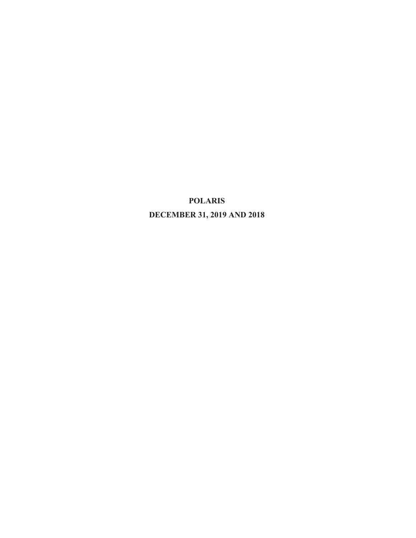**POLARIS DECEMBER 31, 2019 AND 2018**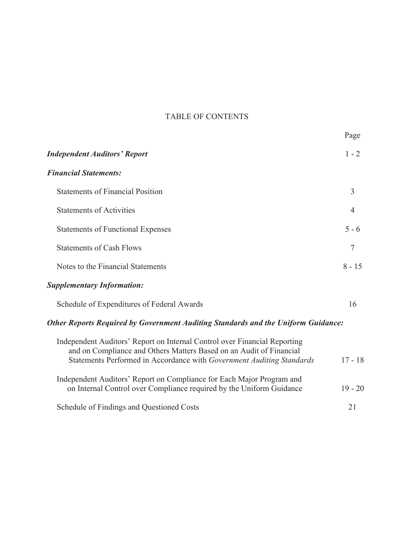# TABLE OF CONTENTS

Page **Page** 

| <b>Independent Auditors' Report</b>                                                                                                                                                                                       | $1 - 2$   |
|---------------------------------------------------------------------------------------------------------------------------------------------------------------------------------------------------------------------------|-----------|
| <b>Financial Statements:</b>                                                                                                                                                                                              |           |
| <b>Statements of Financial Position</b>                                                                                                                                                                                   | 3         |
| <b>Statements of Activities</b>                                                                                                                                                                                           | 4         |
| <b>Statements of Functional Expenses</b>                                                                                                                                                                                  | $5 - 6$   |
| <b>Statements of Cash Flows</b>                                                                                                                                                                                           | 7         |
| Notes to the Financial Statements                                                                                                                                                                                         | $8 - 15$  |
| <b>Supplementary Information:</b>                                                                                                                                                                                         |           |
| Schedule of Expenditures of Federal Awards                                                                                                                                                                                | 16        |
| <b>Other Reports Required by Government Auditing Standards and the Uniform Guidance:</b>                                                                                                                                  |           |
| Independent Auditors' Report on Internal Control over Financial Reporting<br>and on Compliance and Others Matters Based on an Audit of Financial<br>Statements Performed in Accordance with Government Auditing Standards | $17 - 18$ |
| Independent Auditors' Report on Compliance for Each Major Program and<br>on Internal Control over Compliance required by the Uniform Guidance                                                                             | $19 - 20$ |
| Schedule of Findings and Questioned Costs                                                                                                                                                                                 | 21        |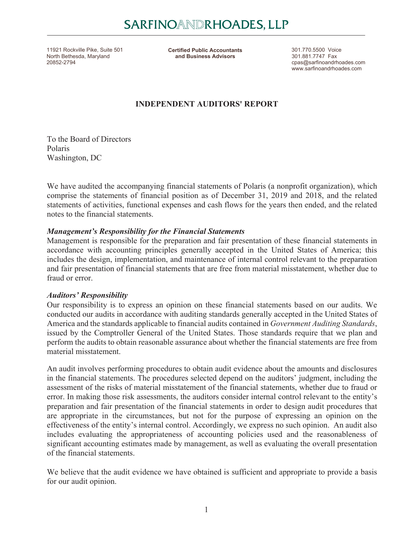11921 Rockville Pike, Suite 501 **301.770.5500** Voice **Certified Public Accountants** 301.770.5500 Voice 301.770.5500 Voice 301.881.7747 Fax North Bethesda, Maryland<br>20852-2794

**Certified Public Accountants** and **Business Advisors** 

cpas@sarfinoandrhoades.com www.sarfinoandrhoades.com

# **INDEPENDENT AUDITORS' REPORT**

To the Board of Directors Polaris Washington, DC

We have audited the accompanying financial statements of Polaris (a nonprofit organization), which comprise the statements of financial position as of December 31, 2019 and 2018, and the related statements of activities, functional expenses and cash flows for the years then ended, and the related notes to the financial statements.

# *Management's Responsibility for the Financial Statements*

Management is responsible for the preparation and fair presentation of these financial statements in accordance with accounting principles generally accepted in the United States of America; this includes the design, implementation, and maintenance of internal control relevant to the preparation and fair presentation of financial statements that are free from material misstatement, whether due to fraud or error.

## *Auditors' Responsibility*

Our responsibility is to express an opinion on these financial statements based on our audits. We conducted our audits in accordance with auditing standards generally accepted in the United States of America and the standards applicable to financial audits contained in *Government Auditing Standards*, issued by the Comptroller General of the United States. Those standards require that we plan and perform the audits to obtain reasonable assurance about whether the financial statements are free from material misstatement.

An audit involves performing procedures to obtain audit evidence about the amounts and disclosures in the financial statements. The procedures selected depend on the auditors' judgment, including the assessment of the risks of material misstatement of the financial statements, whether due to fraud or error. In making those risk assessments, the auditors consider internal control relevant to the entity's preparation and fair presentation of the financial statements in order to design audit procedures that are appropriate in the circumstances, but not for the purpose of expressing an opinion on the effectiveness of the entity's internal control. Accordingly, we express no such opinion. An audit also includes evaluating the appropriateness of accounting policies used and the reasonableness of significant accounting estimates made by management, as well as evaluating the overall presentation of the financial statements.

We believe that the audit evidence we have obtained is sufficient and appropriate to provide a basis for our audit opinion.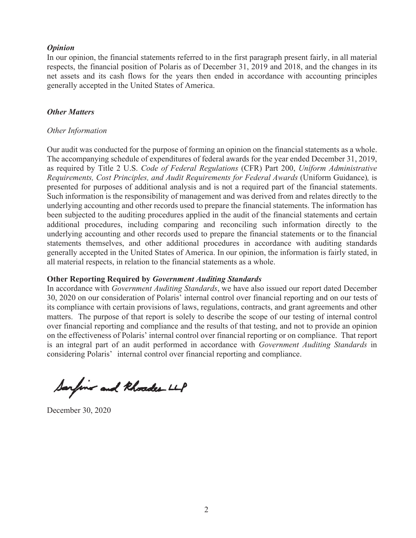#### *Opinion*

In our opinion, the financial statements referred to in the first paragraph present fairly, in all material respects, the financial position of Polaris as of December 31, 2019 and 2018, and the changes in its net assets and its cash flows for the years then ended in accordance with accounting principles generally accepted in the United States of America.

#### *Other Matters*

#### *Other Information*

Our audit was conducted for the purpose of forming an opinion on the financial statements as a whole. The accompanying schedule of expenditures of federal awards for the year ended December 31, 2019, as required by Title 2 U.S. *Code of Federal Regulations* (CFR) Part 200, *Uniform Administrative Requirements, Cost Principles, and Audit Requirements for Federal Awards* (Uniform Guidance)*,* is presented for purposes of additional analysis and is not a required part of the financial statements. Such information is the responsibility of management and was derived from and relates directly to the underlying accounting and other records used to prepare the financial statements. The information has been subjected to the auditing procedures applied in the audit of the financial statements and certain additional procedures, including comparing and reconciling such information directly to the underlying accounting and other records used to prepare the financial statements or to the financial statements themselves, and other additional procedures in accordance with auditing standards generally accepted in the United States of America. In our opinion, the information is fairly stated, in all material respects, in relation to the financial statements as a whole.

## **Other Reporting Required by** *Government Auditing Standards*

In accordance with *Government Auditing Standards*, we have also issued our report dated December 30, 2020 on our consideration of Polaris' internal control over financial reporting and on our tests of its compliance with certain provisions of laws, regulations, contracts, and grant agreements and other matters. The purpose of that report is solely to describe the scope of our testing of internal control over financial reporting and compliance and the results of that testing, and not to provide an opinion on the effectiveness of Polaris' internal control over financial reporting or on compliance. That report is an integral part of an audit performed in accordance with *Government Auditing Standards* in considering Polaris' internal control over financial reporting and compliance.

Sarfins and Rhoades LLP

December 30, 2020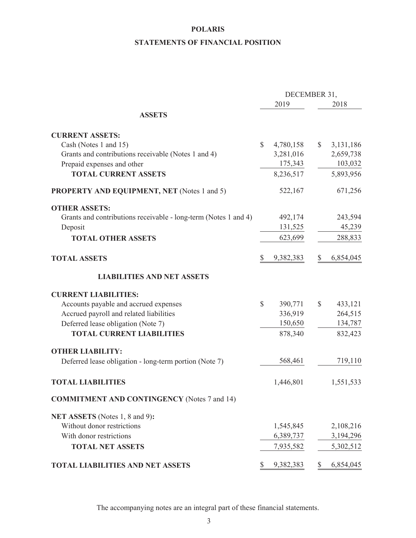# **STATEMENTS OF FINANCIAL POSITION**

|                                                                 |               | DECEMBER 31, |              |           |
|-----------------------------------------------------------------|---------------|--------------|--------------|-----------|
|                                                                 |               | 2019         |              | 2018      |
| <b>ASSETS</b>                                                   |               |              |              |           |
| <b>CURRENT ASSETS:</b>                                          |               |              |              |           |
| Cash (Notes 1 and 15)                                           | $\mathbb{S}$  | 4,780,158    | $\mathbb{S}$ | 3,131,186 |
| Grants and contributions receivable (Notes 1 and 4)             |               | 3,281,016    |              | 2,659,738 |
| Prepaid expenses and other                                      |               | 175,343      |              | 103,032   |
| <b>TOTAL CURRENT ASSETS</b>                                     |               | 8,236,517    |              | 5,893,956 |
| <b>PROPERTY AND EQUIPMENT, NET (Notes 1 and 5)</b>              |               | 522,167      |              | 671,256   |
| <b>OTHER ASSETS:</b>                                            |               |              |              |           |
| Grants and contributions receivable - long-term (Notes 1 and 4) |               | 492,174      |              | 243,594   |
| Deposit                                                         |               | 131,525      |              | 45,239    |
| <b>TOTAL OTHER ASSETS</b>                                       |               | 623,699      |              | 288,833   |
| <b>TOTAL ASSETS</b>                                             | S             | 9,382,383    | \$           | 6,854,045 |
| <b>LIABILITIES AND NET ASSETS</b>                               |               |              |              |           |
| <b>CURRENT LIABILITIES:</b>                                     |               |              |              |           |
| Accounts payable and accrued expenses                           | $\mathcal{S}$ | 390,771      | $\mathbb{S}$ | 433,121   |
| Accrued payroll and related liabilities                         |               | 336,919      |              | 264,515   |
| Deferred lease obligation (Note 7)                              |               | 150,650      |              | 134,787   |
| <b>TOTAL CURRENT LIABILITIES</b>                                |               | 878,340      |              | 832,423   |
| <b>OTHER LIABILITY:</b>                                         |               |              |              |           |
| Deferred lease obligation - long-term portion (Note 7)          |               | 568,461      |              | 719,110   |
| <b>TOTAL LIABILITIES</b>                                        |               | 1,446,801    |              | 1,551,533 |
| <b>COMMITMENT AND CONTINGENCY</b> (Notes 7 and 14)              |               |              |              |           |
| NET ASSETS (Notes 1, 8 and 9):                                  |               |              |              |           |
| Without donor restrictions                                      |               | 1,545,845    |              | 2,108,216 |
| With donor restrictions                                         |               | 6,389,737    |              | 3,194,296 |
| <b>TOTAL NET ASSETS</b>                                         |               | 7,935,582    |              | 5,302,512 |
| <b>TOTAL LIABILITIES AND NET ASSETS</b>                         | S.            | 9,382,383    | \$           | 6,854,045 |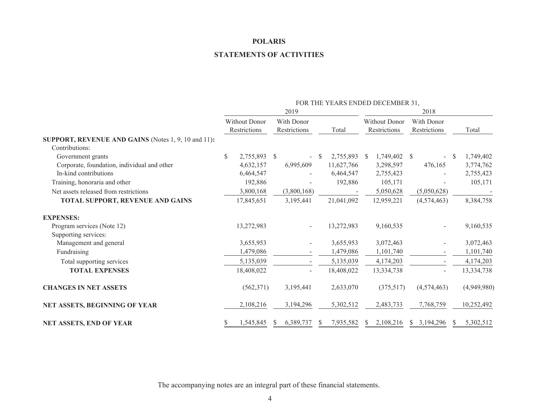#### **STATEMENTS OF ACTIVITIES**

|                                                     |               |                               |              | 2019                       |       |              | 2018                          |            |                            |   |             |  |  |  |
|-----------------------------------------------------|---------------|-------------------------------|--------------|----------------------------|-------|--------------|-------------------------------|------------|----------------------------|---|-------------|--|--|--|
|                                                     |               | Without Donor<br>Restrictions |              | With Donor<br>Restrictions | Total |              | Without Donor<br>Restrictions |            | With Donor<br>Restrictions |   | Total       |  |  |  |
| SUPPORT, REVENUE AND GAINS (Notes 1, 9, 10 and 11): |               |                               |              |                            |       |              |                               |            |                            |   |             |  |  |  |
| Contributions:                                      |               |                               |              |                            |       |              |                               |            |                            |   |             |  |  |  |
| Government grants                                   | $\mathcal{S}$ | 2,755,893 \$                  |              | $\overline{\phantom{a}}$   |       | 2,755,893 \$ |                               | 1,749,402  | <sup>S</sup>               | S | 1,749,402   |  |  |  |
| Corporate, foundation, individual and other         |               | 4,632,157                     |              | 6,995,609                  |       | 11,627,766   |                               | 3,298,597  | 476,165                    |   | 3,774,762   |  |  |  |
| In-kind contributions                               |               | 6,464,547                     |              |                            |       | 6,464,547    |                               | 2,755,423  |                            |   | 2,755,423   |  |  |  |
| Training, honoraria and other                       |               | 192,886                       |              |                            |       | 192,886      |                               | 105,171    |                            |   | 105,171     |  |  |  |
| Net assets released from restrictions               |               | 3,800,168                     |              | (3,800,168)                |       |              |                               | 5,050,628  | (5,050,628)                |   |             |  |  |  |
| TOTAL SUPPORT, REVENUE AND GAINS                    |               | 17,845,651                    |              | 3,195,441                  |       | 21,041,092   |                               | 12,959,221 | (4,574,463)                |   | 8,384,758   |  |  |  |
| <b>EXPENSES:</b>                                    |               |                               |              |                            |       |              |                               |            |                            |   |             |  |  |  |
| Program services (Note 12)                          |               | 13,272,983                    |              |                            |       | 13,272,983   |                               | 9,160,535  |                            |   | 9,160,535   |  |  |  |
| Supporting services:                                |               |                               |              |                            |       |              |                               |            |                            |   |             |  |  |  |
| Management and general                              |               | 3,655,953                     |              | $\qquad \qquad -$          |       | 3,655,953    |                               | 3,072,463  |                            |   | 3,072,463   |  |  |  |
| Fundraising                                         |               | 1,479,086                     |              | $\overline{\phantom{a}}$   |       | 1,479,086    |                               | 1,101,740  |                            |   | 1,101,740   |  |  |  |
| Total supporting services                           |               | 5,135,039                     |              | $\overline{\phantom{a}}$   |       | 5,135,039    |                               | 4,174,203  |                            |   | 4,174,203   |  |  |  |
| <b>TOTAL EXPENSES</b>                               |               | 18,408,022                    |              |                            |       | 18,408,022   |                               | 13,334,738 |                            |   | 13,334,738  |  |  |  |
| <b>CHANGES IN NET ASSETS</b>                        |               | (562, 371)                    |              | 3,195,441                  |       | 2,633,070    |                               | (375,517)  | (4,574,463)                |   | (4,949,980) |  |  |  |
| NET ASSETS, BEGINNING OF YEAR                       |               | 2,108,216                     |              | 3,194,296                  |       | 5,302,512    |                               | 2,483,733  | 7,768,759                  |   | 10,252,492  |  |  |  |
| NET ASSETS, END OF YEAR                             | \$            | 1,545,845                     | <sup>S</sup> | 6,389,737                  | S     | 7,935,582    |                               | 2,108,216  | 3,194,296<br><sup>S</sup>  | S | 5,302,512   |  |  |  |

FOR THE YEARS ENDED DECEMBER 31,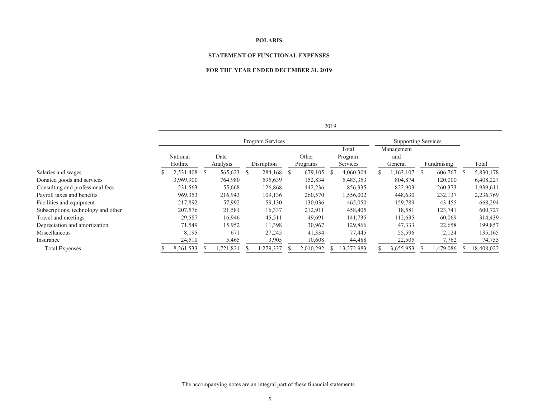#### **STATEMENT OF FUNCTIONAL EXPENSES**

#### **FOR THE YEAR ENDED DECEMBER 31, 2019**

|                                     | Program Services |           |              |           |    |            |  |           |      | Supporting Services |    |            |     |             |    |            |
|-------------------------------------|------------------|-----------|--------------|-----------|----|------------|--|-----------|------|---------------------|----|------------|-----|-------------|----|------------|
|                                     |                  |           |              |           |    |            |  |           |      | Total               |    | Management |     |             |    |            |
|                                     |                  | National  |              | Data      |    |            |  | Other     |      | Program             |    | and        |     |             |    |            |
|                                     |                  | Hotline   |              | Analysis  |    | Disruption |  | Programs  |      | Services            |    | General    |     | Fundraising |    | Total      |
| Salaries and wages                  |                  | 2,531,408 | <sup>S</sup> | 565,623   | -S | 284,168 \$ |  | 679,105   | - \$ | 4,060,304           | S. | ,163,107   | - S | 606,767     | -S | 5,830,178  |
| Donated goods and services          |                  | 3.969.900 |              | 764,980   |    | 595,639    |  | 152,834   |      | 5,483,353           |    | 804,874    |     | 120,000     |    | 6,408,227  |
| Consulting and professional fees    |                  | 231,563   |              | 55,668    |    | 126,868    |  | 442,236   |      | 856,335             |    | 822,903    |     | 260,373     |    | 1,939,611  |
| Payroll taxes and benefits          |                  | 969,353   |              | 216,943   |    | 109,136    |  | 260,570   |      | 1,556,002           |    | 448,630    |     | 232,137     |    | 2,236,769  |
| Facilities and equipment            |                  | 217,892   |              | 57,992    |    | 59,130     |  | 130,036   |      | 465,050             |    | 159,789    |     | 43,455      |    | 668,294    |
| Subscriptions, technology and other |                  | 207,576   |              | 21,581    |    | 16,337     |  | 212,911   |      | 458,405             |    | 18,581     |     | 123,741     |    | 600,727    |
| Travel and meetings                 |                  | 29,587    |              | 16,946    |    | 45,511     |  | 49,691    |      | 141,735             |    | 112,635    |     | 60,069      |    | 314,439    |
| Depreciation and amortization       |                  | 71,549    |              | 15,952    |    | 11,398     |  | 30,967    |      | 129,866             |    | 47,333     |     | 22,658      |    | 199,857    |
| Miscellaneous                       |                  | 8,195     |              | 671       |    | 27,245     |  | 41,334    |      | 77,445              |    | 55,596     |     | 2,124       |    | 135,165    |
| Insurance                           |                  | 24,510    |              | 5,465     |    | 3,905      |  | 10,608    |      | 44,488              |    | 22,505     |     | 7,762       |    | 74,755     |
| <b>Total Expenses</b>               |                  | 8,261,533 |              | 1,721,821 |    | .279,337   |  | 2,010,292 |      | 13,272,983          |    | 3,655,953  |     | 1,479,086   |    | 18,408,022 |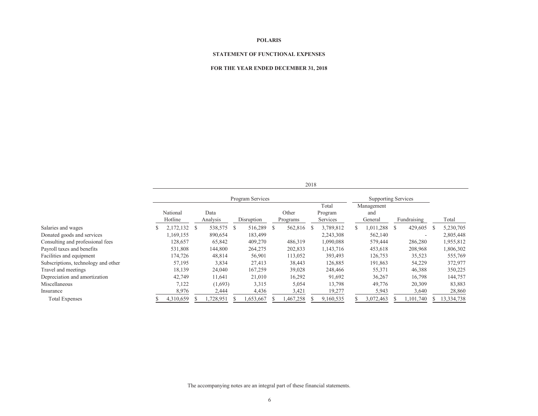#### **STATEMENT OF FUNCTIONAL EXPENSES**

#### **FOR THE YEAR ENDED DECEMBER 31, 2018**

2018

|                                     |    | Program Services    |     |                  |     |            |    |                   |  |                              | <b>Supporting Services</b> |                              |  |             |  |            |
|-------------------------------------|----|---------------------|-----|------------------|-----|------------|----|-------------------|--|------------------------------|----------------------------|------------------------------|--|-------------|--|------------|
|                                     |    | National<br>Hotline |     | Data<br>Analysis |     | Disruption |    | Other<br>Programs |  | Total<br>Program<br>Services |                            | Management<br>and<br>General |  | Fundraising |  | Total      |
| Salaries and wages                  | S  | 172,132             | \$. | 538,575          | \$. | 516,289    | £. | 562,816           |  | 3,789,812                    | S                          | .011,288                     |  | 429,605     |  | 5,230,705  |
| Donated goods and services          |    | 1,169,155           |     | 890,654          |     | 183,499    |    |                   |  | 2,243,308                    |                            | 562,140                      |  | ۰           |  | 2,805,448  |
| Consulting and professional fees    |    | 128,657             |     | 65,842           |     | 409,270    |    | 486,319           |  | 1,090,088                    |                            | 579,444                      |  | 286,280     |  | 1,955,812  |
| Payroll taxes and benefits          |    | 531,808             |     | 144,800          |     | 264,275    |    | 202,833           |  | 1,143,716                    |                            | 453,618                      |  | 208,968     |  | 1,806,302  |
| Facilities and equipment            |    | 174,726             |     | 48,814           |     | 56,901     |    | 113,052           |  | 393,493                      |                            | 126,753                      |  | 35,523      |  | 555,769    |
| Subscriptions, technology and other |    | 57,195              |     | 3,834            |     | 27,413     |    | 38,443            |  | 126,885                      |                            | 191,863                      |  | 54,229      |  | 372,977    |
| Travel and meetings                 |    | 18,139              |     | 24,040           |     | 167,259    |    | 39,028            |  | 248,466                      |                            | 55,371                       |  | 46,388      |  | 350,225    |
| Depreciation and amortization       |    | 42,749              |     | 11,641           |     | 21,010     |    | 16,292            |  | 91,692                       |                            | 36,267                       |  | 16,798      |  | 144,757    |
| Miscellaneous                       |    | 7,122               |     | (1,693)          |     | 3,315      |    | 5,054             |  | 13,798                       |                            | 49,776                       |  | 20,309      |  | 83,883     |
| Insurance                           |    | 8,976               |     | 2,444            |     | 4,436      |    | 3,421             |  | 19,277                       |                            | 5,943                        |  | 3,640       |  | 28,860     |
| <b>Total Expenses</b>               | ۰٦ | 4,310,659           |     | ,728,951         |     | 1,653,667  |    | .467,258          |  | 9,160,535                    |                            | 3,072,463                    |  | .101.740    |  | 13,334,738 |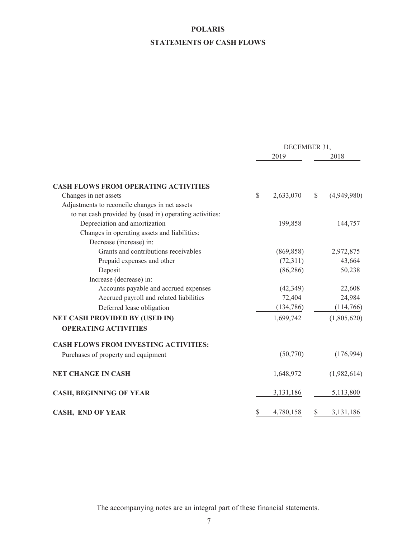# **STATEMENTS OF CASH FLOWS**

|                                                         |               | DECEMBER 31, |              |             |
|---------------------------------------------------------|---------------|--------------|--------------|-------------|
|                                                         |               | 2019         |              | 2018        |
| <b>CASH FLOWS FROM OPERATING ACTIVITIES</b>             |               |              |              |             |
| Changes in net assets                                   | $\mathcal{S}$ | 2,633,070    | <sup>S</sup> | (4,949,980) |
| Adjustments to reconcile changes in net assets          |               |              |              |             |
| to net cash provided by (used in) operating activities: |               |              |              |             |
| Depreciation and amortization                           |               | 199,858      |              | 144,757     |
| Changes in operating assets and liabilities:            |               |              |              |             |
| Decrease (increase) in:                                 |               |              |              |             |
| Grants and contributions receivables                    |               | (869, 858)   |              | 2,972,875   |
| Prepaid expenses and other                              |               | (72,311)     |              | 43,664      |
| Deposit                                                 |               | (86, 286)    |              | 50,238      |
| Increase (decrease) in:                                 |               |              |              |             |
| Accounts payable and accrued expenses                   |               | (42, 349)    |              | 22,608      |
| Accrued payroll and related liabilities                 |               | 72,404       |              | 24,984      |
| Deferred lease obligation                               |               | (134, 786)   |              | (114,766)   |
| <b>NET CASH PROVIDED BY (USED IN)</b>                   |               | 1,699,742    |              | (1,805,620) |
| <b>OPERATING ACTIVITIES</b>                             |               |              |              |             |
| <b>CASH FLOWS FROM INVESTING ACTIVITIES:</b>            |               |              |              |             |
| Purchases of property and equipment                     |               | (50,770)     |              | (176, 994)  |
| <b>NET CHANGE IN CASH</b>                               |               | 1,648,972    |              | (1,982,614) |
| <b>CASH, BEGINNING OF YEAR</b>                          |               | 3, 131, 186  |              | 5,113,800   |
| <b>CASH, END OF YEAR</b>                                | S             | 4,780,158    | S            | 3,131,186   |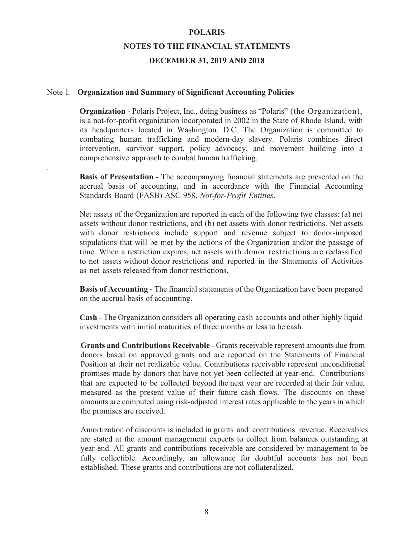# **POLARIS NOTES TO THE FINANCIAL STATEMENTS DECEMBER 31, 2019 AND 2018**

#### Note 1. **Organization and Summary of Significant Accounting Policies**

.

**Organization** - Polaris Project, Inc., doing business as "Polaris" (the Organization), is a not-for-profit organization incorporated in 2002 in the State of Rhode Island, with its headquarters located in Washington, D.C. The Organization is committed to combating human trafficking and modern-day slavery. Polaris combines direct intervention, survivor support, policy advocacy, and movement building into a comprehensive approach to combat human trafficking.

**Basis of Presentation** - The accompanying financial statements are presented on the accrual basis of accounting, and in accordance with the Financial Accounting Standards Board (FASB) ASC 958, *Not-for-Profit Entities*.

Net assets of the Organization are reported in each of the following two classes: (a) net assets without donor restrictions, and (b) net assets with donor restrictions. Net assets with donor restrictions include support and revenue subject to donor-imposed stipulations that will be met by the actions of the Organization and/or the passage of time. When a restriction expires, net assets with donor restrictions are reclassified to net assets without donor restrictions and reported in the Statements of Activities as net assets released from donor restrictions.

**Basis of Accounting** - The financial statements of the Organization have been prepared on the accrual basis of accounting.

**Cash** - The Organization considers all operating cash accounts and other highly liquid investments with initial maturities of three months or less to be cash.

 **Grants and Contributions Receivable** - Grants receivable represent amounts due from donors based on approved grants and are reported on the Statements of Financial Position at their net realizable value. Contributions receivable represent unconditional promises made by donors that have not yet been collected at year-end. Contributions that are expected to be collected beyond the next year are recorded at their fair value, measured as the present value of their future cash flows. The discounts on these amounts are computed using risk-adjusted interest rates applicable to the years in which the promises are received.

Amortization of discounts is included in grants and contributions revenue. Receivables are stated at the amount management expects to collect from balances outstanding at year-end. All grants and contributions receivable are considered by management to be fully collectible. Accordingly, an allowance for doubtful accounts has not been established. These grants and contributions are not collateralized.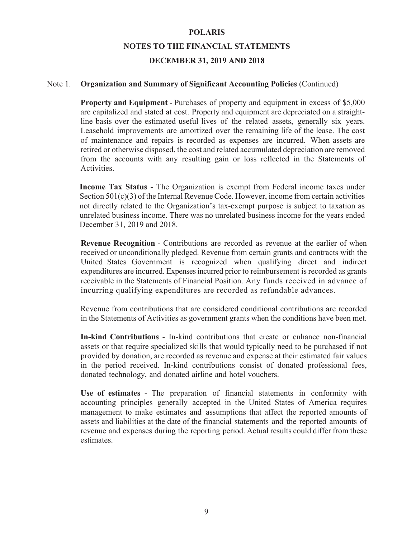## **NOTES TO THE FINANCIAL STATEMENTS**

#### **DECEMBER 31, 2019 AND 2018**

#### Note 1. **Organization and Summary of Significant Accounting Policies** (Continued)

**Property and Equipment** - Purchases of property and equipment in excess of \$5,000 are capitalized and stated at cost. Property and equipment are depreciated on a straightline basis over the estimated useful lives of the related assets, generally six years. Leasehold improvements are amortized over the remaining life of the lease. The cost of maintenance and repairs is recorded as expenses are incurred. When assets are retired or otherwise disposed, the cost and related accumulated depreciation are removed from the accounts with any resulting gain or loss reflected in the Statements of Activities.

**Income Tax Status** - The Organization is exempt from Federal income taxes under Section 501(c)(3) of the Internal Revenue Code. However, income from certain activities not directly related to the Organization's tax-exempt purpose is subject to taxation as unrelated business income. There was no unrelated business income for the years ended December 31, 2019 and 2018.

**Revenue Recognition** - Contributions are recorded as revenue at the earlier of when received or unconditionally pledged. Revenue from certain grants and contracts with the United States Government is recognized when qualifying direct and indirect expenditures are incurred. Expenses incurred prior to reimbursement is recorded as grants receivable in the Statements of Financial Position. Any funds received in advance of incurring qualifying expenditures are recorded as refundable advances.

Revenue from contributions that are considered conditional contributions are recorded in the Statements of Activities as government grants when the conditions have been met.

**In-kind Contributions** - In-kind contributions that create or enhance non-financial assets or that require specialized skills that would typically need to be purchased if not provided by donation, are recorded as revenue and expense at their estimated fair values in the period received. In-kind contributions consist of donated professional fees, donated technology, and donated airline and hotel vouchers.

**Use of estimates** - The preparation of financial statements in conformity with accounting principles generally accepted in the United States of America requires management to make estimates and assumptions that affect the reported amounts of assets and liabilities at the date of the financial statements and the reported amounts of revenue and expenses during the reporting period. Actual results could differ from these estimates.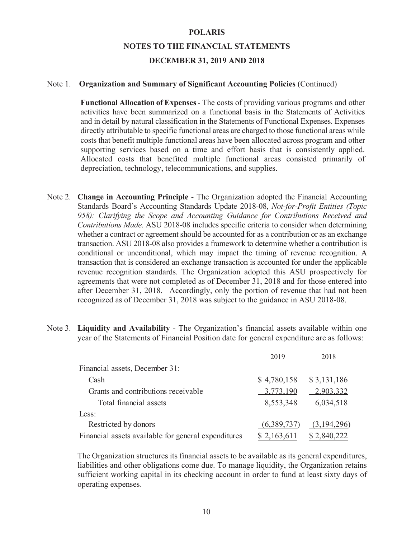#### **NOTES TO THE FINANCIAL STATEMENTS**

#### **DECEMBER 31, 2019 AND 2018**

#### Note 1. **Organization and Summary of Significant Accounting Policies** (Continued)

**Functional Allocation of Expenses** - The costs of providing various programs and other activities have been summarized on a functional basis in the Statements of Activities and in detail by natural classification in the Statements of Functional Expenses. Expenses directly attributable to specific functional areas are charged to those functional areas while costs that benefit multiple functional areas have been allocated across program and other supporting services based on a time and effort basis that is consistently applied. Allocated costs that benefited multiple functional areas consisted primarily of depreciation, technology, telecommunications, and supplies.

- Note 2. **Change in Accounting Principle** The Organization adopted the Financial Accounting Standards Board's Accounting Standards Update 2018-08, *Not-for-Profit Entities (Topic 958): Clarifying the Scope and Accounting Guidance for Contributions Received and Contributions Made*. ASU 2018-08 includes specific criteria to consider when determining whether a contract or agreement should be accounted for as a contribution or as an exchange transaction. ASU 2018-08 also provides a framework to determine whether a contribution is conditional or unconditional, which may impact the timing of revenue recognition. A transaction that is considered an exchange transaction is accounted for under the applicable revenue recognition standards. The Organization adopted this ASU prospectively for agreements that were not completed as of December 31, 2018 and for those entered into after December 31, 2018. Accordingly, only the portion of revenue that had not been recognized as of December 31, 2018 was subject to the guidance in ASU 2018-08.
- Note 3. **Liquidity and Availability** The Organization's financial assets available within one year of the Statements of Financial Position date for general expenditure are as follows:

|                                                     | 2019        | 2018        |
|-----------------------------------------------------|-------------|-------------|
| Financial assets, December 31:                      |             |             |
| Cash                                                | \$4,780,158 | \$3,131,186 |
| Grants and contributions receivable                 | 3,773,190   | 2,903,332   |
| Total financial assets                              | 8,553,348   | 6,034,518   |
| Less:                                               |             |             |
| Restricted by donors                                | (6,389,737) | (3,194,296) |
| Financial assets available for general expenditures | \$2,163,611 | \$2,840,222 |

 The Organization structures its financial assets to be available as its general expenditures, liabilities and other obligations come due. To manage liquidity, the Organization retains sufficient working capital in its checking account in order to fund at least sixty days of operating expenses.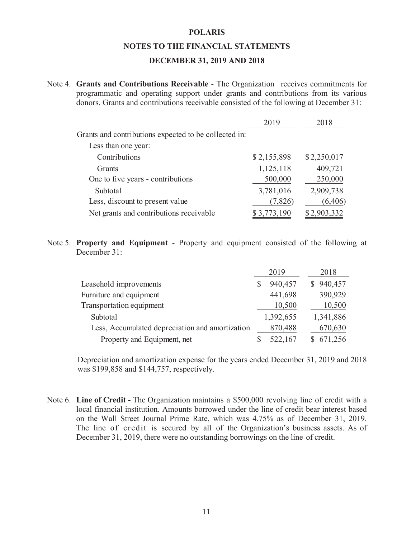#### **NOTES TO THE FINANCIAL STATEMENTS**

## **DECEMBER 31, 2019 AND 2018**

Note 4. **Grants and Contributions Receivable** - The Organization receives commitments for programmatic and operating support under grants and contributions from its various donors. Grants and contributions receivable consisted of the following at December 31:

|                                                       | 2019        | 2018        |
|-------------------------------------------------------|-------------|-------------|
| Grants and contributions expected to be collected in: |             |             |
| Less than one year:                                   |             |             |
| Contributions                                         | \$2,155,898 | \$2,250,017 |
| Grants                                                | 1,125,118   | 409,721     |
| One to five years - contributions                     | 500,000     | 250,000     |
| Subtotal                                              | 3,781,016   | 2,909,738   |
| Less, discount to present value                       | (7,826)     | (6,406)     |
| Net grants and contributions receivable               | \$3,773,190 | \$2,903,332 |

Note 5. **Property and Equipment** - Property and equipment consisted of the following at December 31:

|                                                 | 2019      | 2018      |
|-------------------------------------------------|-----------|-----------|
| Leasehold improvements                          | 940,457   | \$940,457 |
| Furniture and equipment                         | 441,698   | 390,929   |
| Transportation equipment                        | 10,500    | 10,500    |
| Subtotal                                        | 1,392,655 | 1,341,886 |
| Less, Accumulated depreciation and amortization | 870,488   | 670,630   |
| Property and Equipment, net                     | 522,167   | 671,256   |

Depreciation and amortization expense for the years ended December 31, 2019 and 2018 was \$199,858 and \$144,757, respectively.

Note 6. **Line of Credit -** The Organization maintains a \$500,000 revolving line of credit with a local financial institution. Amounts borrowed under the line of credit bear interest based on the Wall Street Journal Prime Rate, which was 4.75% as of December 31, 2019. The line of credit is secured by all of the Organization's business assets. As of December 31, 2019, there were no outstanding borrowings on the line of credit.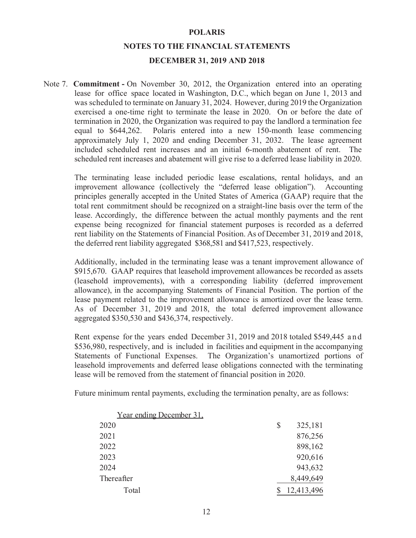#### **NOTES TO THE FINANCIAL STATEMENTS**

#### **DECEMBER 31, 2019 AND 2018**

Note 7. **Commitment -** On November 30, 2012, the Organization entered into an operating lease for office space located in Washington, D.C., which began on June 1, 2013 and was scheduled to terminate on January 31, 2024. However, during 2019 the Organization exercised a one-time right to terminate the lease in 2020. On or before the date of termination in 2020, the Organization was required to pay the landlord a termination fee equal to \$644,262. Polaris entered into a new 150-month lease commencing approximately July 1, 2020 and ending December 31, 2032. The lease agreement included scheduled rent increases and an initial 6-month abatement of rent. The scheduled rent increases and abatement will give rise to a deferred lease liability in 2020.

The terminating lease included periodic lease escalations, rental holidays, and an improvement allowance (collectively the "deferred lease obligation"). Accounting principles generally accepted in the United States of America (GAAP) require that the total rent commitment should be recognized on a straight-line basis over the term of the lease. Accordingly, the difference between the actual monthly payments and the rent expense being recognized for financial statement purposes is recorded as a deferred rent liability on the Statements of Financial Position. As of December 31, 2019 and 2018, the deferred rent liability aggregated \$368,581 and \$417,523, respectively.

Additionally, included in the terminating lease was a tenant improvement allowance of \$915,670. GAAP requires that leasehold improvement allowances be recorded as assets (leasehold improvements), with a corresponding liability (deferred improvement allowance), in the accompanying Statements of Financial Position. The portion of the lease payment related to the improvement allowance is amortized over the lease term. As of December 31, 2019 and 2018, the total deferred improvement allowance aggregated \$350,530 and \$436,374, respectively.

Rent expense for the years ended December 31, 2019 and 2018 totaled \$549,445 a n d \$536,980, respectively, and is included in facilities and equipment in the accompanying Statements of Functional Expenses. The Organization's unamortized portions of leasehold improvements and deferred lease obligations connected with the terminating lease will be removed from the statement of financial position in 2020.

Future minimum rental payments, excluding the termination penalty, are as follows:

| <u>Year ending December 31.</u> |               |
|---------------------------------|---------------|
| 2020                            | \$<br>325,181 |
| 2021                            | 876,256       |
| 2022                            | 898,162       |
| 2023                            | 920,616       |
| 2024                            | 943,632       |
| Thereafter                      | 8,449,649     |
| Total                           | 12,413,496    |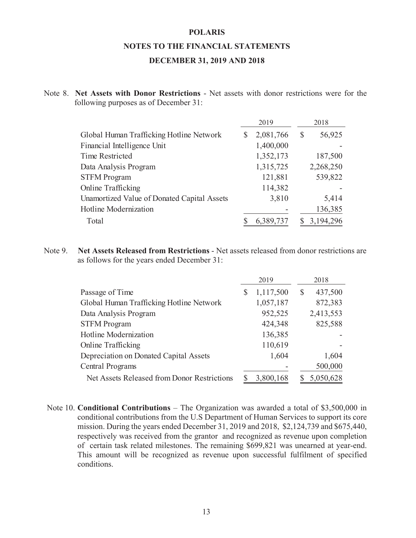#### **NOTES TO THE FINANCIAL STATEMENTS**

#### **DECEMBER 31, 2019 AND 2018**

Note 8. **Net Assets with Donor Restrictions** - Net assets with donor restrictions were for the following purposes as of December 31:

|                                             |   | 2019      |   | 2018      |
|---------------------------------------------|---|-----------|---|-----------|
| Global Human Trafficking Hotline Network    | S | 2,081,766 | S | 56,925    |
| Financial Intelligence Unit                 |   | 1,400,000 |   |           |
| <b>Time Restricted</b>                      |   | 1,352,173 |   | 187,500   |
| Data Analysis Program                       |   | 1,315,725 |   | 2,268,250 |
| <b>STFM Program</b>                         |   | 121,881   |   | 539,822   |
| Online Trafficking                          |   | 114,382   |   |           |
| Unamortized Value of Donated Capital Assets |   | 3,810     |   | 5,414     |
| Hotline Modernization                       |   |           |   | 136,385   |
| Total                                       |   | 6,389,737 |   | 3,194,296 |

Note 9. **Net Assets Released from Restrictions** - Net assets released from donor restrictions are as follows for the years ended December 31:

|                                             |   | 2019      |   | 2018      |
|---------------------------------------------|---|-----------|---|-----------|
| Passage of Time                             | S | 1,117,500 | S | 437,500   |
| Global Human Trafficking Hotline Network    |   | 1,057,187 |   | 872,383   |
| Data Analysis Program                       |   | 952,525   |   | 2,413,553 |
| <b>STFM Program</b>                         |   | 424,348   |   | 825,588   |
| Hotline Modernization                       |   | 136,385   |   |           |
| Online Trafficking                          |   | 110,619   |   |           |
| Depreciation on Donated Capital Assets      |   | 1,604     |   | 1,604     |
| Central Programs                            |   |           |   | 500,000   |
| Net Assets Released from Donor Restrictions |   | 3,800,168 |   | 5,050,628 |

Note 10. **Conditional Contributions** – The Organization was awarded a total of \$3,500,000 in conditional contributions from the U.S Department of Human Services to support its core mission. During the years ended December 31, 2019 and 2018, \$2,124,739 and \$675,440, respectively was received from the grantor and recognized as revenue upon completion of certain task related milestones. The remaining \$699,821 was unearned at year-end. This amount will be recognized as revenue upon successful fulfilment of specified conditions.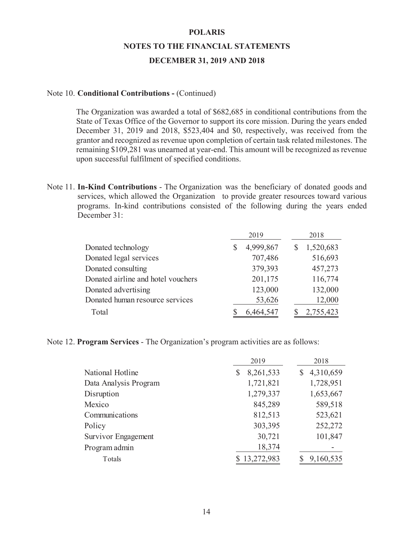# **POLARIS NOTES TO THE FINANCIAL STATEMENTS DECEMBER 31, 2019 AND 2018**

#### Note 10. **Conditional Contributions -** (Continued)

The Organization was awarded a total of \$682,685 in conditional contributions from the State of Texas Office of the Governor to support its core mission. During the years ended December 31, 2019 and 2018, \$523,404 and \$0, respectively, was received from the grantor and recognized as revenue upon completion of certain task related milestones. The remaining \$109,281 was unearned at year-end. This amount will be recognized as revenue upon successful fulfilment of specified conditions.

Note 11. **In-Kind Contributions** - The Organization was the beneficiary of donated goods and services, which allowed the Organization to provide greater resources toward various programs. In-kind contributions consisted of the following during the years ended December 31:

|                                    | 2019           | 2018      |  |
|------------------------------------|----------------|-----------|--|
| Donated technology                 | 4,999,867<br>S | 1,520,683 |  |
| Donated legal services             | 707,486        | 516,693   |  |
| Donated consulting                 | 379,393        | 457,273   |  |
| Donated airline and hotel vouchers | 201,175        | 116,774   |  |
| Donated advertising                | 123,000        | 132,000   |  |
| Donated human resource services    | 53,626         | 12,000    |  |
| Total                              | 6,464,547      | 2,755,423 |  |

Note 12. **Program Services** - The Organization's program activities are as follows:

|                       | 2019            | 2018            |  |
|-----------------------|-----------------|-----------------|--|
| National Hotline      | 8,261,533<br>\$ | 4,310,659<br>\$ |  |
| Data Analysis Program | 1,721,821       | 1,728,951       |  |
| Disruption            | 1,279,337       | 1,653,667       |  |
| Mexico                | 845,289         | 589,518         |  |
| Communications        | 812,513         | 523,621         |  |
| Policy                | 303,395         | 252,272         |  |
| Survivor Engagement   | 30,721          | 101,847         |  |
| Program admin         | 18,374          |                 |  |
| Totals                | 13,272,983      | 9,160,535       |  |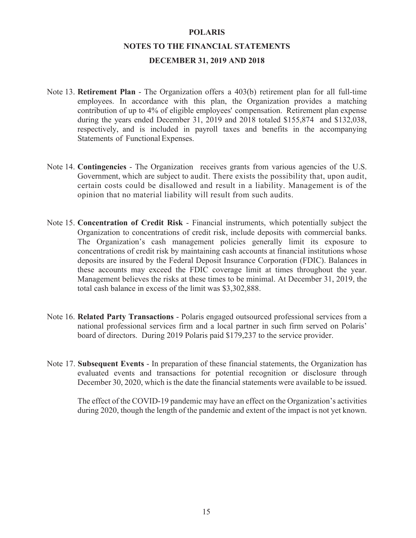#### **NOTES TO THE FINANCIAL STATEMENTS**

#### **DECEMBER 31, 2019 AND 2018**

- Note 13. **Retirement Plan**  The Organization offers a 403(b) retirement plan for all full-time employees. In accordance with this plan, the Organization provides a matching contribution of up to 4% of eligible employees' compensation. Retirement plan expense during the years ended December 31, 2019 and 2018 totaled \$155,874 and \$132,038, respectively, and is included in payroll taxes and benefits in the accompanying Statements of Functional Expenses.
- Note 14. **Contingencies**  The Organization receives grants from various agencies of the U.S. Government, which are subject to audit. There exists the possibility that, upon audit, certain costs could be disallowed and result in a liability. Management is of the opinion that no material liability will result from such audits.
- Note 15. **Concentration of Credit Risk** Financial instruments, which potentially subject the Organization to concentrations of credit risk, include deposits with commercial banks. The Organization's cash management policies generally limit its exposure to concentrations of credit risk by maintaining cash accounts at financial institutions whose deposits are insured by the Federal Deposit Insurance Corporation (FDIC). Balances in these accounts may exceed the FDIC coverage limit at times throughout the year. Management believes the risks at these times to be minimal. At December 31, 2019, the total cash balance in excess of the limit was \$3,302,888.
- Note 16. **Related Party Transactions** Polaris engaged outsourced professional services from a national professional services firm and a local partner in such firm served on Polaris' board of directors. During 2019 Polaris paid \$179,237 to the service provider.
- Note 17. **Subsequent Events** In preparation of these financial statements, the Organization has evaluated events and transactions for potential recognition or disclosure through December 30, 2020, which is the date the financial statements were available to be issued.

 The effect of the COVID-19 pandemic may have an effect on the Organization's activities during 2020, though the length of the pandemic and extent of the impact is not yet known.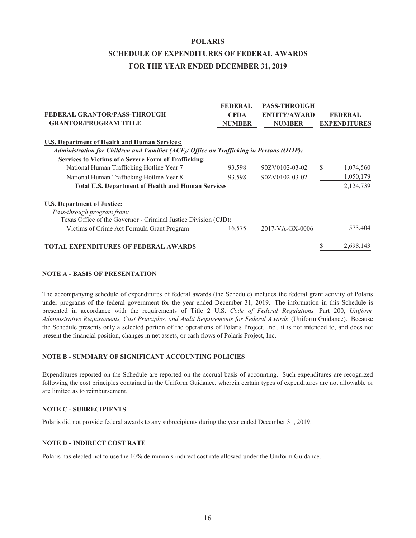# **SCHEDULE OF EXPENDITURES OF FEDERAL AWARDS FOR THE YEAR ENDED DECEMBER 31, 2019**

| <b>FEDERAL GRANTOR/PASS-THROUGH</b><br><b>GRANTOR/PROGRAM TITLE</b>                                                                       | <b>FEDERAL</b><br><b>CFDA</b><br><b>NUMBER</b> | <b>PASS-THROUGH</b><br>ENTITY/AWARD<br><b>NUMBER</b> |     | <b>FEDERAL</b><br><b>EXPENDITURES</b> |
|-------------------------------------------------------------------------------------------------------------------------------------------|------------------------------------------------|------------------------------------------------------|-----|---------------------------------------|
| U.S. Department of Health and Human Services:<br>Administration for Children and Families (ACF)/ Office on Trafficking in Persons (OTIP): |                                                |                                                      |     |                                       |
| <b>Services to Victims of a Severe Form of Trafficking:</b>                                                                               |                                                |                                                      |     |                                       |
| National Human Trafficking Hotline Year 7                                                                                                 | 93.598                                         | 90ZV0102-03-02                                       | \$. | 1,074,560                             |
| National Human Trafficking Hotline Year 8                                                                                                 | 93.598                                         | 90ZV0102-03-02                                       |     | 1,050,179                             |
| <b>Total U.S. Department of Health and Human Services</b>                                                                                 |                                                |                                                      |     | 2,124,739                             |
| <b>U.S. Department of Justice:</b><br>Pass-through program from:<br>Texas Office of the Governor - Criminal Justice Division (CJD):       |                                                |                                                      |     |                                       |
| Victims of Crime Act Formula Grant Program                                                                                                | 16.575                                         | 2017-VA-GX-0006                                      |     | 573,404                               |
| <b>TOTAL EXPENDITURES OF FEDERAL AWARDS</b>                                                                                               |                                                |                                                      |     | 2,698,143                             |

#### **NOTE A - BASIS OF PRESENTATION**

The accompanying schedule of expenditures of federal awards (the Schedule) includes the federal grant activity of Polaris under programs of the federal government for the year ended December 31, 2019. The information in this Schedule is presented in accordance with the requirements of Title 2 U.S. *Code of Federal Regulations* Part 200, *Uniform Administrative Requirements, Cost Principles, and Audit Requirements for Federal Awards* (Uniform Guidance). Because the Schedule presents only a selected portion of the operations of Polaris Project, Inc., it is not intended to, and does not present the financial position, changes in net assets, or cash flows of Polaris Project, Inc.

#### **NOTE B - SUMMARY OF SIGNIFICANT ACCOUNTING POLICIES**

Expenditures reported on the Schedule are reported on the accrual basis of accounting. Such expenditures are recognized following the cost principles contained in the Uniform Guidance, wherein certain types of expenditures are not allowable or are limited as to reimbursement.

#### **NOTE C - SUBRECIPIENTS**

Polaris did not provide federal awards to any subrecipients during the year ended December 31, 2019.

#### **NOTE D - INDIRECT COST RATE**

Polaris has elected not to use the 10% de minimis indirect cost rate allowed under the Uniform Guidance.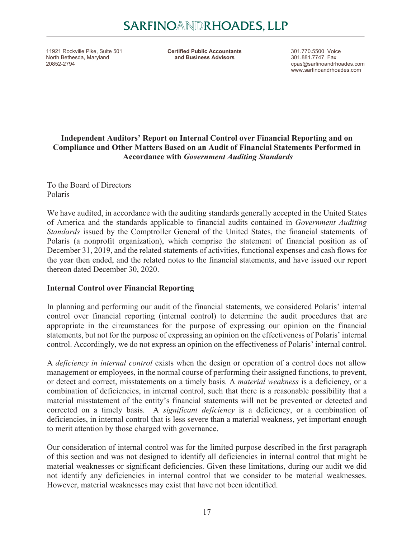11921 Rockville Pike, Suite 501 **301.770.5500** Voice **Certified Public Accountants** 301.770.5500 Voice North Bethesda, Maryland **301.881.7747 Fax 301.881.7747 Fax** 20852-2794 cpas@sarfinoandrhoades.com

and Business Advisors

www.sarfinoandrhoades.com

# **Independent Auditors' Report on Internal Control over Financial Reporting and on Compliance and Other Matters Based on an Audit of Financial Statements Performed in Accordance with** *Government Auditing Standards*

To the Board of Directors Polaris

We have audited, in accordance with the auditing standards generally accepted in the United States of America and the standards applicable to financial audits contained in *Government Auditing Standards* issued by the Comptroller General of the United States, the financial statements of Polaris (a nonprofit organization), which comprise the statement of financial position as of December 31, 2019, and the related statements of activities, functional expenses and cash flows for the year then ended, and the related notes to the financial statements, and have issued our report thereon dated December 30, 2020.

# **Internal Control over Financial Reporting**

In planning and performing our audit of the financial statements, we considered Polaris' internal control over financial reporting (internal control) to determine the audit procedures that are appropriate in the circumstances for the purpose of expressing our opinion on the financial statements, but not for the purpose of expressing an opinion on the effectiveness of Polaris' internal control. Accordingly, we do not express an opinion on the effectiveness of Polaris' internal control.

A *deficiency in internal control* exists when the design or operation of a control does not allow management or employees, in the normal course of performing their assigned functions, to prevent, or detect and correct, misstatements on a timely basis. A *material weakness* is a deficiency, or a combination of deficiencies, in internal control, such that there is a reasonable possibility that a material misstatement of the entity's financial statements will not be prevented or detected and corrected on a timely basis. A *significant deficiency* is a deficiency, or a combination of deficiencies, in internal control that is less severe than a material weakness, yet important enough to merit attention by those charged with governance.

Our consideration of internal control was for the limited purpose described in the first paragraph of this section and was not designed to identify all deficiencies in internal control that might be material weaknesses or significant deficiencies. Given these limitations, during our audit we did not identify any deficiencies in internal control that we consider to be material weaknesses. However, material weaknesses may exist that have not been identified.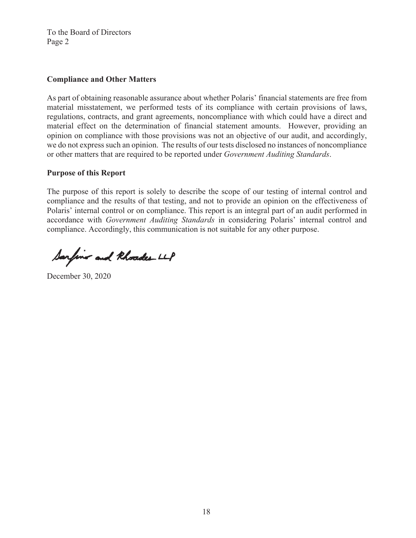To the Board of Directors Page 2

## **Compliance and Other Matters**

As part of obtaining reasonable assurance about whether Polaris' financial statements are free from material misstatement, we performed tests of its compliance with certain provisions of laws, regulations, contracts, and grant agreements, noncompliance with which could have a direct and material effect on the determination of financial statement amounts. However, providing an opinion on compliance with those provisions was not an objective of our audit, and accordingly, we do not express such an opinion. The results of our tests disclosed no instances of noncompliance or other matters that are required to be reported under *Government Auditing Standards*.

## **Purpose of this Report**

The purpose of this report is solely to describe the scope of our testing of internal control and compliance and the results of that testing, and not to provide an opinion on the effectiveness of Polaris' internal control or on compliance. This report is an integral part of an audit performed in accordance with *Government Auditing Standards* in considering Polaris' internal control and compliance. Accordingly, this communication is not suitable for any other purpose.

Sarfino and Rhoades LLP

December 30, 2020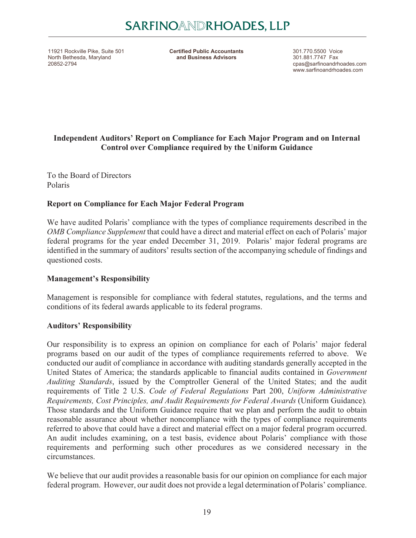11921 Rockville Pike, Suite 501 **301.770.5500** Voice **Certified Public Accountants** 301.770.5500 Voice North Bethesda, Maryland **301.881.7747 Fax 301.881.7747 Fax** 20852-2794 cpas@sarfinoandrhoades.com

and Business Advisors

www.sarfinoandrhoades.com

# **Independent Auditors' Report on Compliance for Each Major Program and on Internal Control over Compliance required by the Uniform Guidance**

To the Board of Directors Polaris

# **Report on Compliance for Each Major Federal Program**

We have audited Polaris' compliance with the types of compliance requirements described in the *OMB Compliance Supplement* that could have a direct and material effect on each of Polaris' major federal programs for the year ended December 31, 2019. Polaris' major federal programs are identified in the summary of auditors' results section of the accompanying schedule of findings and questioned costs.

# **Management's Responsibility**

Management is responsible for compliance with federal statutes, regulations, and the terms and conditions of its federal awards applicable to its federal programs.

# **Auditors' Responsibility**

Our responsibility is to express an opinion on compliance for each of Polaris' major federal programs based on our audit of the types of compliance requirements referred to above. We conducted our audit of compliance in accordance with auditing standards generally accepted in the United States of America; the standards applicable to financial audits contained in *Government Auditing Standards*, issued by the Comptroller General of the United States; and the audit requirements of Title 2 U.S. *Code of Federal Regulations* Part 200, *Uniform Administrative Requirements, Cost Principles, and Audit Requirements for Federal Awards* (Uniform Guidance)*.* Those standards and the Uniform Guidance require that we plan and perform the audit to obtain reasonable assurance about whether noncompliance with the types of compliance requirements referred to above that could have a direct and material effect on a major federal program occurred. An audit includes examining, on a test basis, evidence about Polaris' compliance with those requirements and performing such other procedures as we considered necessary in the circumstances.

We believe that our audit provides a reasonable basis for our opinion on compliance for each major federal program. However, our audit does not provide a legal determination of Polaris' compliance.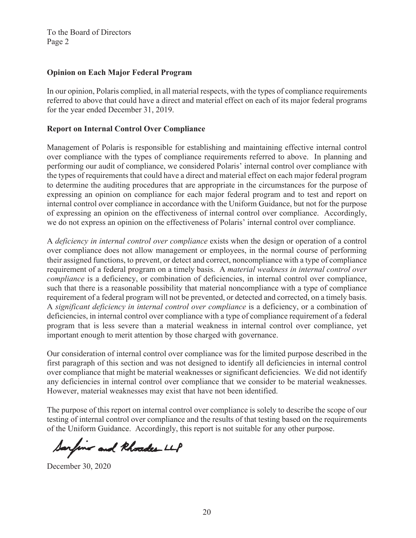To the Board of Directors Page 2

## **Opinion on Each Major Federal Program**

In our opinion, Polaris complied, in all material respects, with the types of compliance requirements referred to above that could have a direct and material effect on each of its major federal programs for the year ended December 31, 2019.

## **Report on Internal Control Over Compliance**

Management of Polaris is responsible for establishing and maintaining effective internal control over compliance with the types of compliance requirements referred to above. In planning and performing our audit of compliance, we considered Polaris' internal control over compliance with the types of requirements that could have a direct and material effect on each major federal program to determine the auditing procedures that are appropriate in the circumstances for the purpose of expressing an opinion on compliance for each major federal program and to test and report on internal control over compliance in accordance with the Uniform Guidance, but not for the purpose of expressing an opinion on the effectiveness of internal control over compliance. Accordingly, we do not express an opinion on the effectiveness of Polaris' internal control over compliance.

A *deficiency in internal control over compliance* exists when the design or operation of a control over compliance does not allow management or employees, in the normal course of performing their assigned functions, to prevent, or detect and correct, noncompliance with a type of compliance requirement of a federal program on a timely basis. A *material weakness in internal control over compliance* is a deficiency, or combination of deficiencies, in internal control over compliance, such that there is a reasonable possibility that material noncompliance with a type of compliance requirement of a federal program will not be prevented, or detected and corrected, on a timely basis. A *significant deficiency in internal control over compliance* is a deficiency, or a combination of deficiencies, in internal control over compliance with a type of compliance requirement of a federal program that is less severe than a material weakness in internal control over compliance, yet important enough to merit attention by those charged with governance.

Our consideration of internal control over compliance was for the limited purpose described in the first paragraph of this section and was not designed to identify all deficiencies in internal control over compliance that might be material weaknesses or significant deficiencies. We did not identify any deficiencies in internal control over compliance that we consider to be material weaknesses. However, material weaknesses may exist that have not been identified.

The purpose of this report on internal control over compliance is solely to describe the scope of our testing of internal control over compliance and the results of that testing based on the requirements of the Uniform Guidance. Accordingly, this report is not suitable for any other purpose.

Sarfins and Rhoader LLP

December 30, 2020